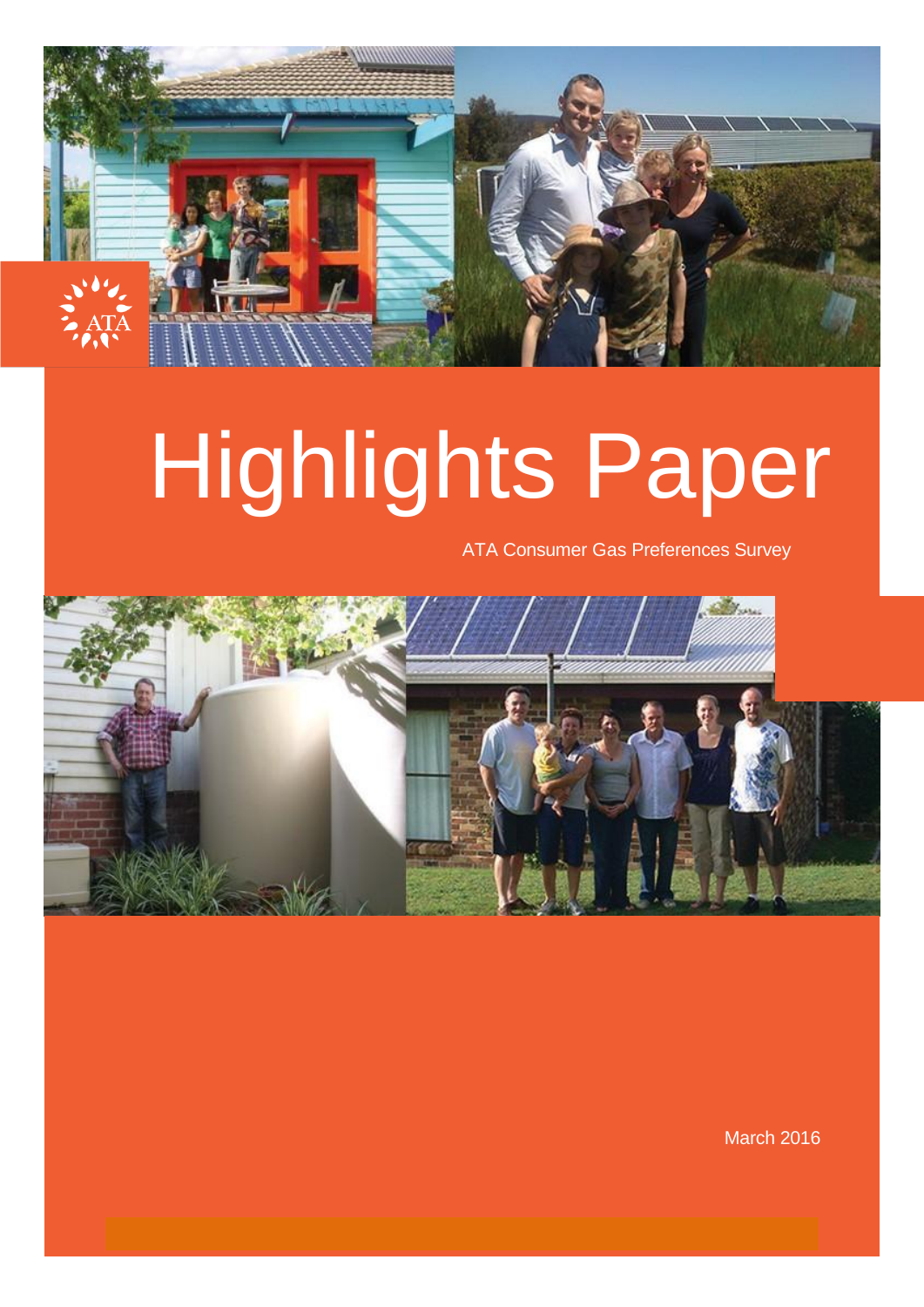

# Highlights Paper

ATA Consumer Gas Preferences Survey



March 2016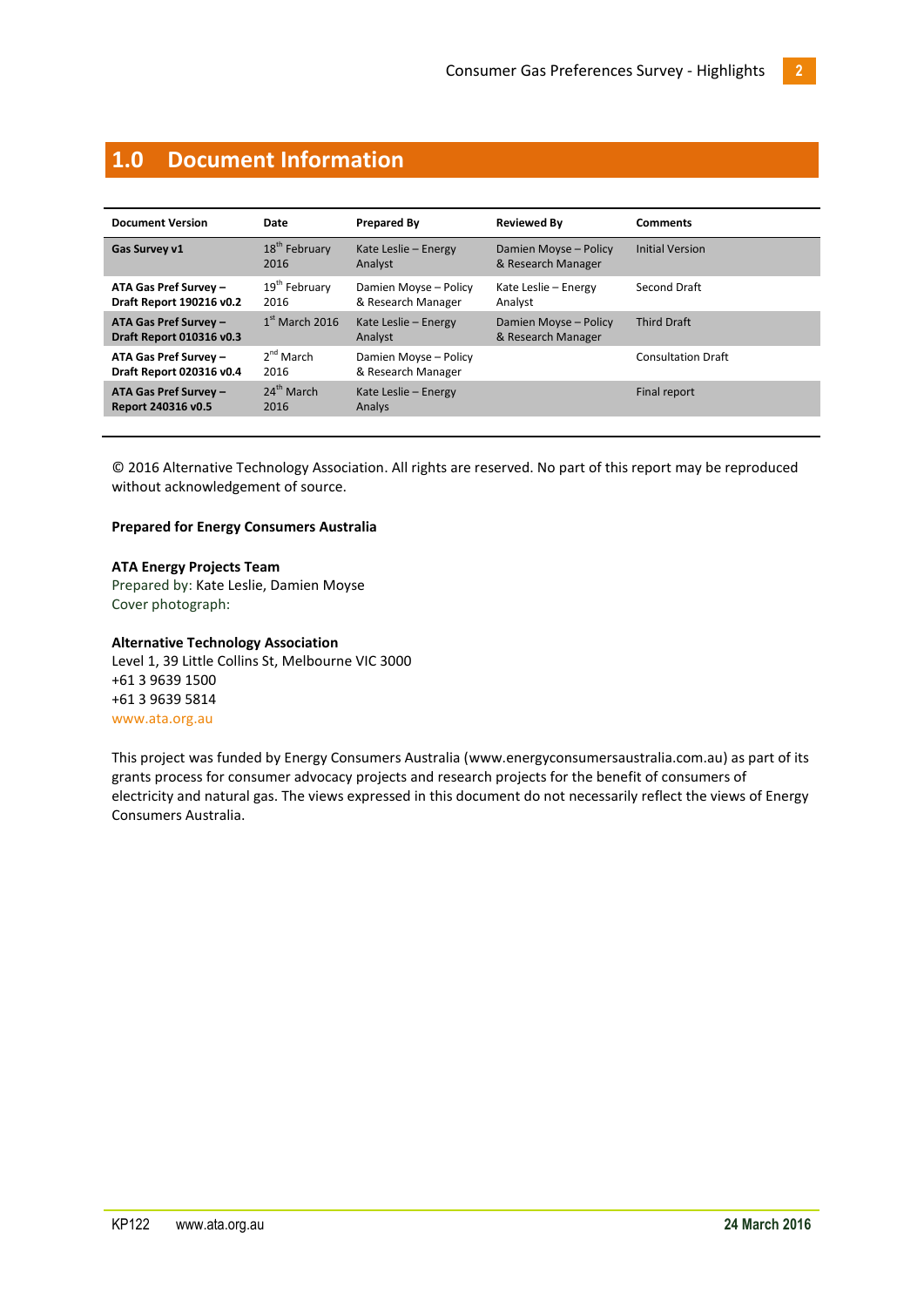# <span id="page-1-0"></span>**1.0 Document Information**

| <b>Document Version</b>                                  | Date                              | <b>Prepared By</b>                          | <b>Reviewed By</b>                          | <b>Comments</b>           |
|----------------------------------------------------------|-----------------------------------|---------------------------------------------|---------------------------------------------|---------------------------|
| Gas Survey v1                                            | 18 <sup>th</sup> February<br>2016 | Kate Leslie - Energy<br>Analyst             | Damien Moyse - Policy<br>& Research Manager | <b>Initial Version</b>    |
| ATA Gas Pref Survey -<br>Draft Report 190216 v0.2        | 19 <sup>th</sup> February<br>2016 | Damien Moyse - Policy<br>& Research Manager | Kate Leslie - Energy<br>Analyst             | Second Draft              |
| <b>ATA Gas Pref Survey -</b><br>Draft Report 010316 v0.3 | $1st$ March 2016                  | Kate Leslie - Energy<br>Analyst             | Damien Moyse - Policy<br>& Research Manager | <b>Third Draft</b>        |
| ATA Gas Pref Survey -<br>Draft Report 020316 v0.4        | $2nd$ March<br>2016               | Damien Moyse - Policy<br>& Research Manager |                                             | <b>Consultation Draft</b> |
| ATA Gas Pref Survey -<br>Report 240316 v0.5              | $24th$ March<br>2016              | Kate Leslie - Energy<br>Analys              |                                             | Final report              |

© 2016 Alternative Technology Association. All rights are reserved. No part of this report may be reproduced without acknowledgement of source.

#### **Prepared for Energy Consumers Australia**

#### **ATA Energy Projects Team**

Prepared by: Kate Leslie, Damien Moyse Cover photograph:

#### **Alternative Technology Association**

Level 1, 39 Little Collins St, Melbourne VIC 3000 +61 3 9639 1500 +61 3 9639 5814 [www.ata.org.au](file://ataserv02/files/7%20Policy%20and%20Projects/Energy/Reference%20Docs/www.ata.org.au)

This project was funded by Energy Consumers Australia [\(www.energyconsumersaustralia.com.au\)](https://webmail.ata.org.au/owa/redir.aspx?SURL=SxApb-RSsgvBYdwsmArvH58Km7OGRQIZwN8qEwBsZQ0xjYFd4CbTCGgAdAB0AHAAOgAvAC8AdwB3AHcALgBlAG4AZQByAGcAeQBjAG8AbgBzAHUAbQBlAHIAcwBhAHUAcwB0AHIAYQBsAGkAYQAuAGMAbwBtAC4AYQB1AA..&URL=http%3a%2f%2fwww.energyconsumersaustralia.com.au) as part of its grants process for consumer advocacy projects and research projects for the benefit of consumers of electricity and natural gas. The views expressed in this document do not necessarily reflect the views of Energy Consumers Australia.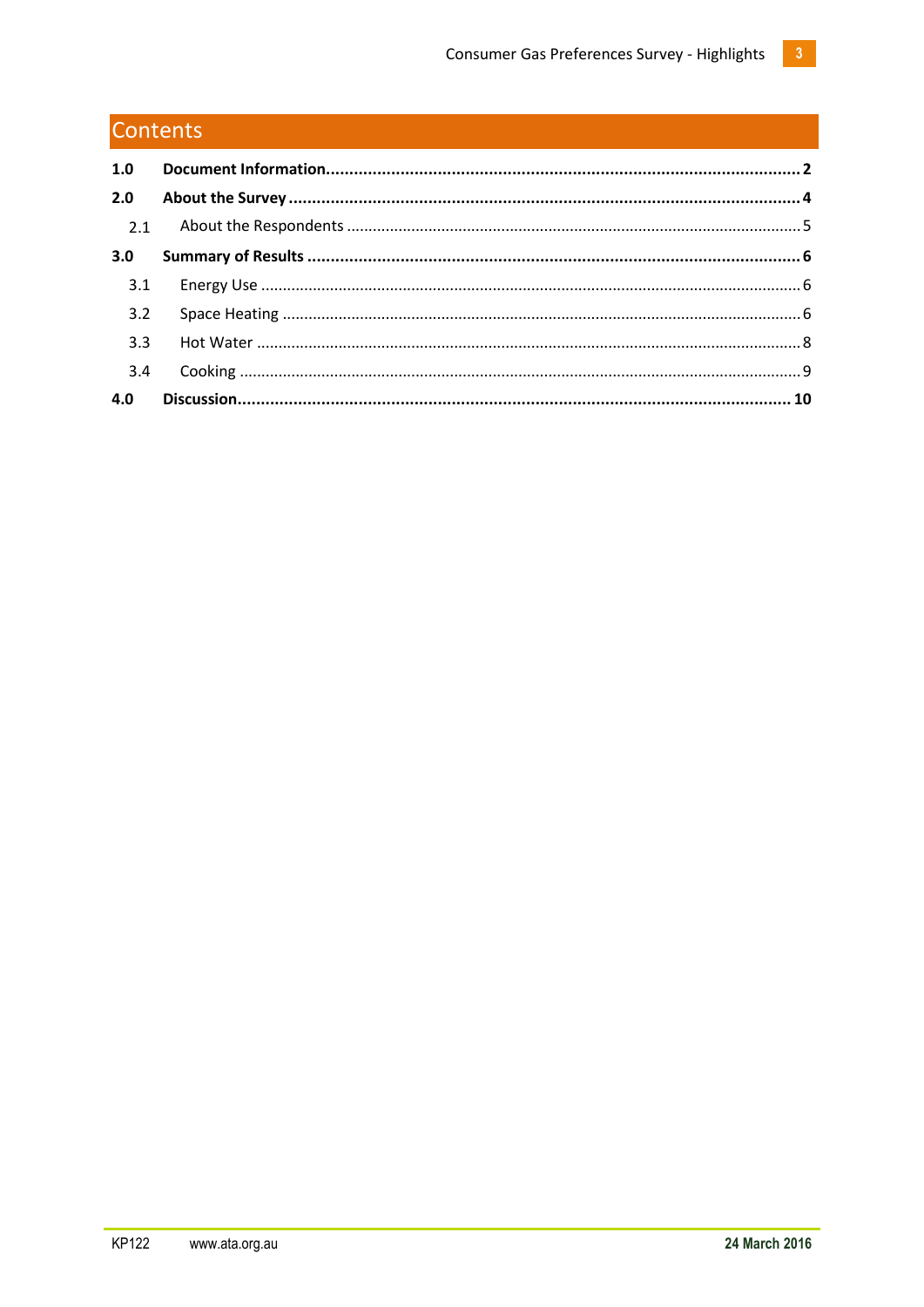# Contents

| 1.0 |  |
|-----|--|
| 2.0 |  |
|     |  |
| 3.0 |  |
| 3.1 |  |
| 3.2 |  |
| 3.3 |  |
| 3.4 |  |
| 4.0 |  |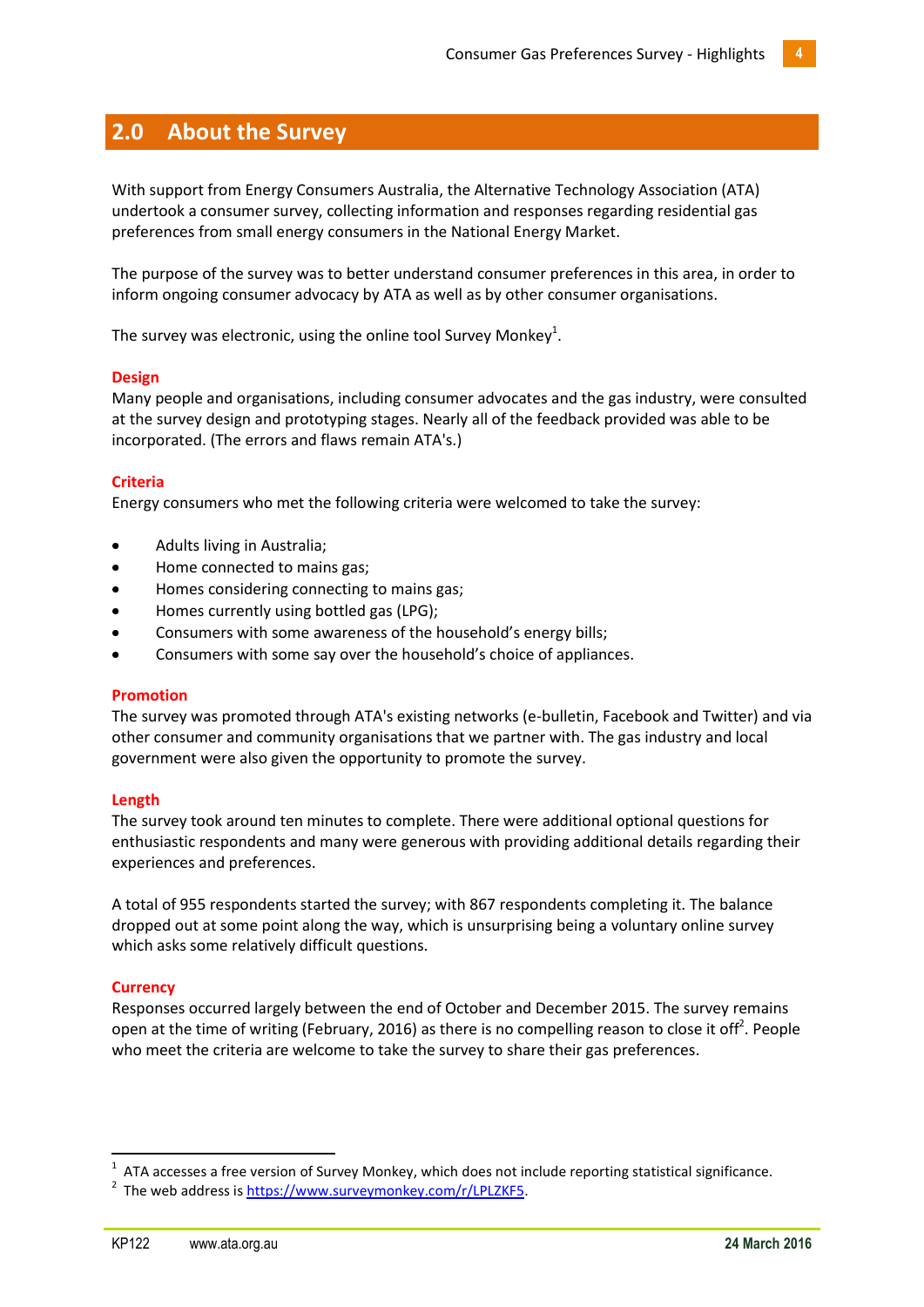# <span id="page-3-0"></span>**2.0 About the Survey**

With support from Energy Consumers Australia, the Alternative Technology Association (ATA) undertook a consumer survey, collecting information and responses regarding residential gas preferences from small energy consumers in the National Energy Market.

The purpose of the survey was to better understand consumer preferences in this area, in order to inform ongoing consumer advocacy by ATA as well as by other consumer organisations.

The survey was electronic, using the online tool Survey Monkey $^1$ .

## **Design**

Many people and organisations, including consumer advocates and the gas industry, were consulted at the survey design and prototyping stages. Nearly all of the feedback provided was able to be incorporated. (The errors and flaws remain ATA's.)

# **Criteria**

Energy consumers who met the following criteria were welcomed to take the survey:

- Adults living in Australia;
- Home connected to mains gas;
- Homes considering connecting to mains gas;
- Homes currently using bottled gas (LPG);
- Consumers with some awareness of the household's energy bills;
- Consumers with some say over the household's choice of appliances.

## **Promotion**

The survey was promoted through ATA's existing networks (e-bulletin, Facebook and Twitter) and via other consumer and community organisations that we partner with. The gas industry and local government were also given the opportunity to promote the survey.

## **Length**

The survey took around ten minutes to complete. There were additional optional questions for enthusiastic respondents and many were generous with providing additional details regarding their experiences and preferences.

A total of 955 respondents started the survey; with 867 respondents completing it. The balance dropped out at some point along the way, which is unsurprising being a voluntary online survey which asks some relatively difficult questions.

## **Currency**

1

Responses occurred largely between the end of October and December 2015. The survey remains open at the time of writing (February, 2016) as there is no compelling reason to close it off<sup>2</sup>. People who meet the criteria are welcome to take the survey to share their gas preferences.

 $1$  ATA accesses a free version of Survey Monkey, which does not include reporting statistical significance.

<sup>&</sup>lt;sup>2</sup> The web address is [https://www.surveymonkey.com/r/LPLZKF5.](https://www.surveymonkey.com/r/LPLZKF5)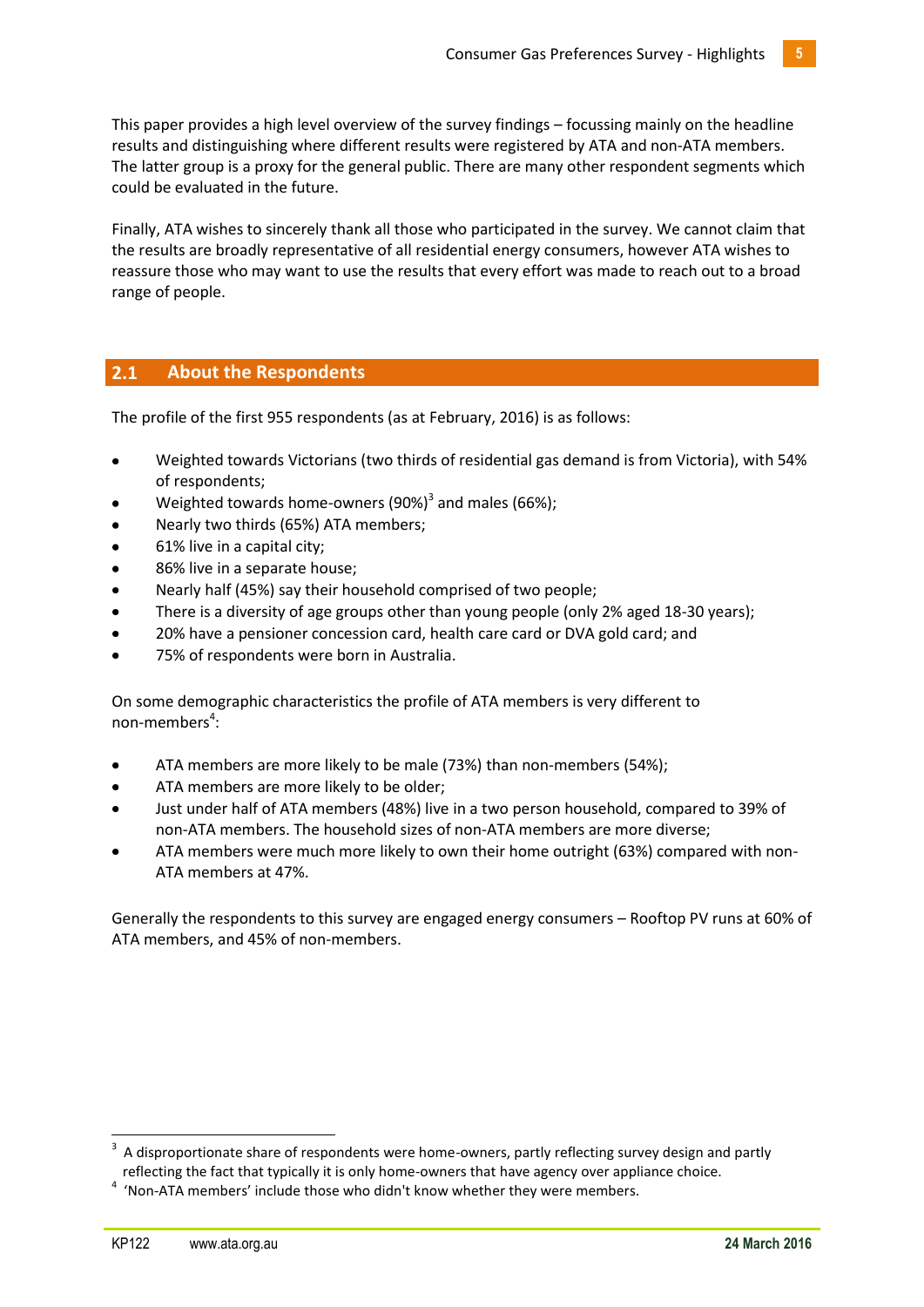This paper provides a high level overview of the survey findings – focussing mainly on the headline results and distinguishing where different results were registered by ATA and non-ATA members. The latter group is a proxy for the general public. There are many other respondent segments which could be evaluated in the future.

Finally, ATA wishes to sincerely thank all those who participated in the survey. We cannot claim that the results are broadly representative of all residential energy consumers, however ATA wishes to reassure those who may want to use the results that every effort was made to reach out to a broad range of people.

# <span id="page-4-0"></span>**2.1 About the Respondents**

The profile of the first 955 respondents (as at February, 2016) is as follows:

- Weighted towards Victorians (two thirds of residential gas demand is from Victoria), with 54% of respondents;
- Weighted towards home-owners (90%)<sup>3</sup> and males (66%);
- Nearly two thirds (65%) ATA members;
- 61% live in a capital city;
- 86% live in a separate house;
- Nearly half (45%) say their household comprised of two people;
- There is a diversity of age groups other than young people (only 2% aged 18-30 years);
- 20% have a pensioner concession card, health care card or DVA gold card; and
- 75% of respondents were born in Australia.

On some demographic characteristics the profile of ATA members is very different to non-members<sup>4</sup>:

- ATA members are more likely to be male (73%) than non-members (54%);
- ATA members are more likely to be older;
- Just under half of ATA members (48%) live in a two person household, compared to 39% of non-ATA members. The household sizes of non-ATA members are more diverse;
- ATA members were much more likely to own their home outright (63%) compared with non-ATA members at 47%.

Generally the respondents to this survey are engaged energy consumers – Rooftop PV runs at 60% of ATA members, and 45% of non-members.

**.** 

<sup>3</sup> A disproportionate share of respondents were home-owners, partly reflecting survey design and partly reflecting the fact that typically it is only home-owners that have agency over appliance choice.

<sup>&</sup>lt;sup>4</sup> 'Non-ATA members' include those who didn't know whether they were members.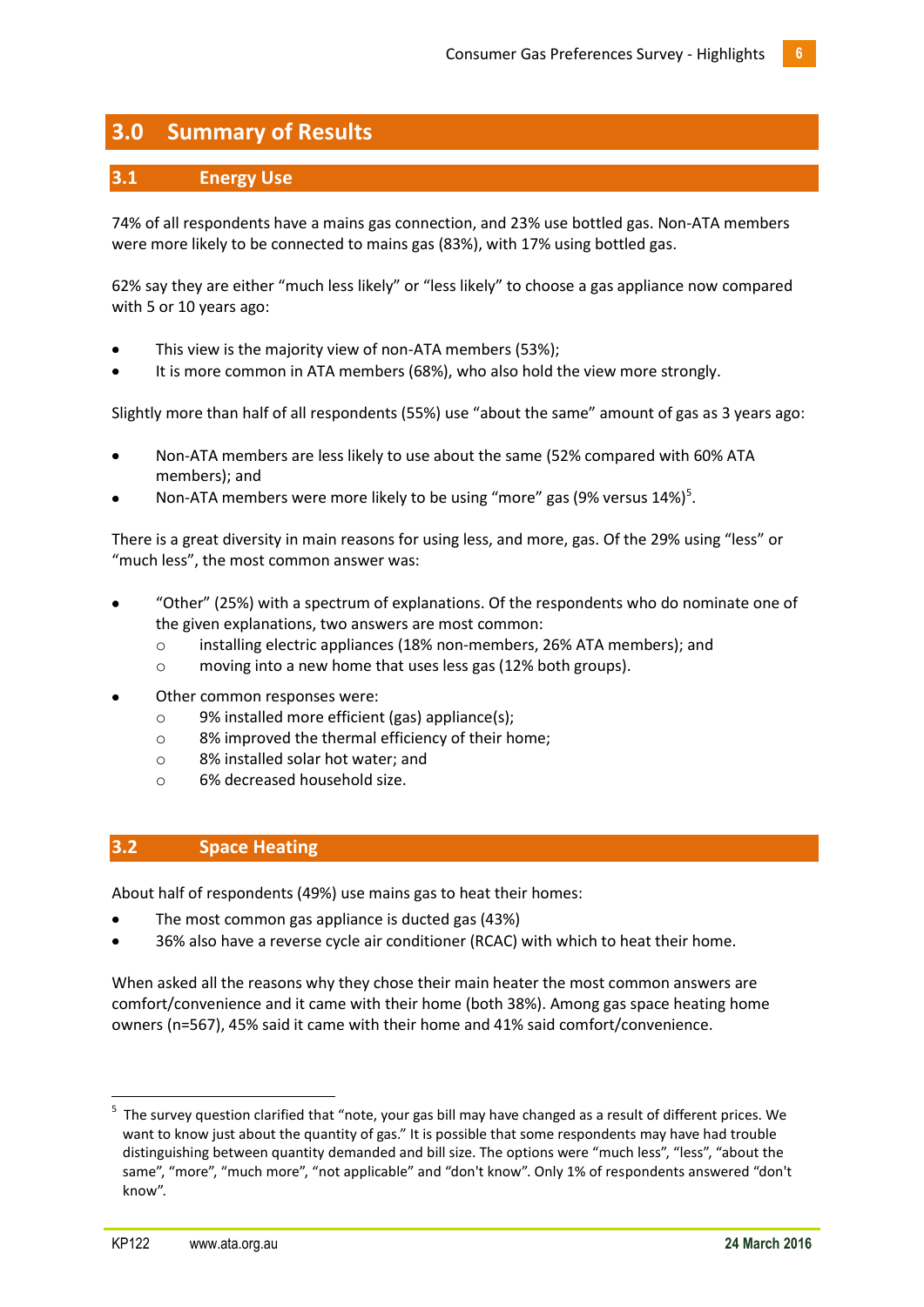# <span id="page-5-0"></span>**3.0 Summary of Results**

# <span id="page-5-1"></span>**3.1 Energy Use**

74% of all respondents have a mains gas connection, and 23% use bottled gas. Non-ATA members were more likely to be connected to mains gas (83%), with 17% using bottled gas.

62% say they are either "much less likely" or "less likely" to choose a gas appliance now compared with 5 or 10 years ago:

- This view is the majority view of non-ATA members (53%);
- It is more common in ATA members (68%), who also hold the view more strongly.

Slightly more than half of all respondents (55%) use "about the same" amount of gas as 3 years ago:

- Non-ATA members are less likely to use about the same (52% compared with 60% ATA members); and
- Non-ATA members were more likely to be using "more" gas (9% versus 14%)<sup>5</sup>.

There is a great diversity in main reasons for using less, and more, gas. Of the 29% using "less" or "much less", the most common answer was:

- "Other" (25%) with a spectrum of explanations. Of the respondents who do nominate one of the given explanations, two answers are most common:
	- o installing electric appliances (18% non-members, 26% ATA members); and
	- o moving into a new home that uses less gas (12% both groups).
- Other common responses were:
	- o 9% installed more efficient (gas) appliance(s);
	- o 8% improved the thermal efficiency of their home;
	- o 8% installed solar hot water; and
	- o 6% decreased household size.

# <span id="page-5-2"></span>**3.2 Space Heating**

About half of respondents (49%) use mains gas to heat their homes:

- The most common gas appliance is ducted gas (43%)
- 36% also have a reverse cycle air conditioner (RCAC) with which to heat their home.

When asked all the reasons why they chose their main heater the most common answers are comfort/convenience and it came with their home (both 38%). Among gas space heating home owners (n=567), 45% said it came with their home and 41% said comfort/convenience.

**.** 

<sup>&</sup>lt;sup>5</sup> The survey question clarified that "note, your gas bill may have changed as a result of different prices. We want to know just about the quantity of gas." It is possible that some respondents may have had trouble distinguishing between quantity demanded and bill size. The options were "much less", "less", "about the same", "more", "much more", "not applicable" and "don't know". Only 1% of respondents answered "don't know".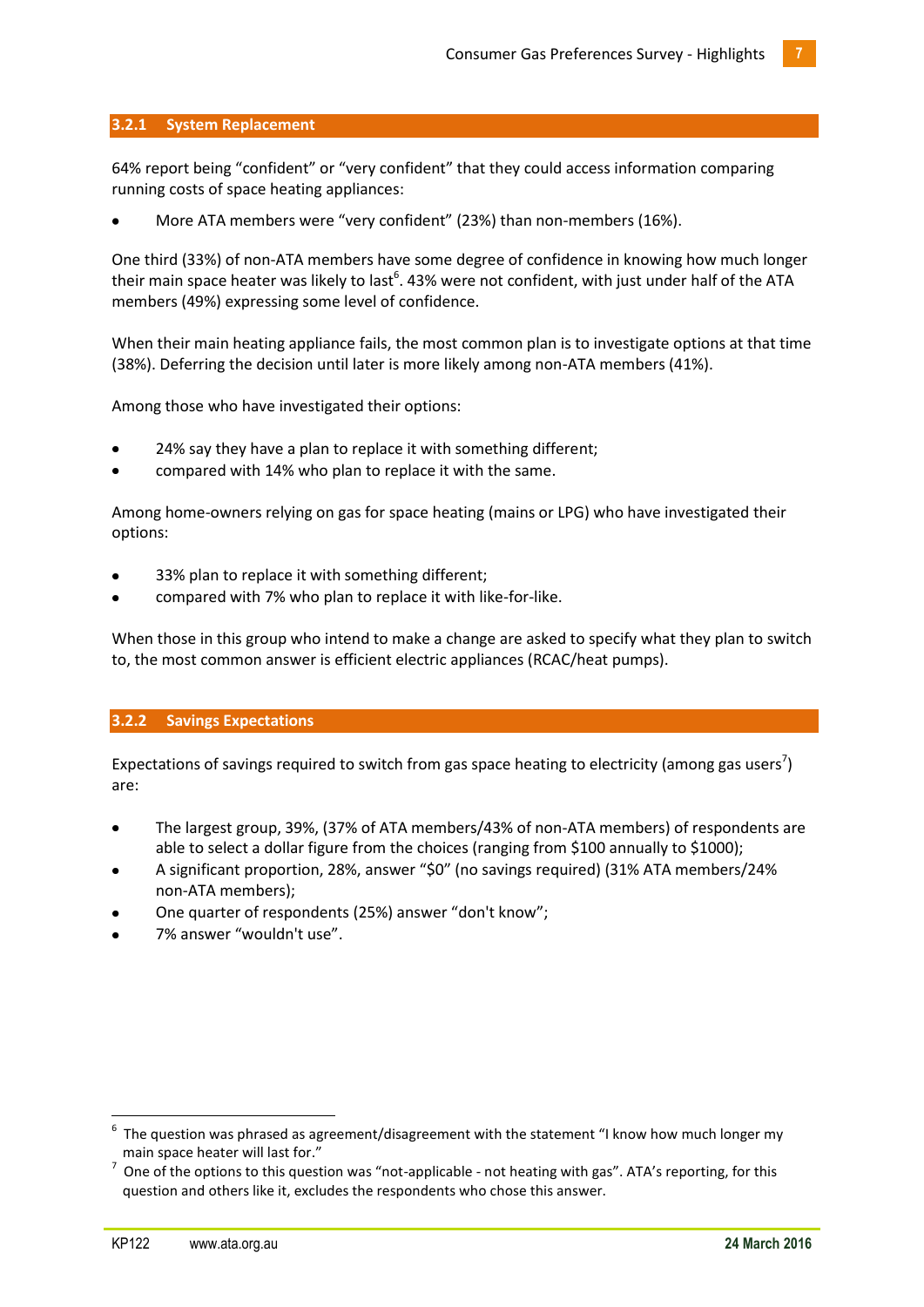# **3.2.1 System Replacement**

64% report being "confident" or "very confident" that they could access information comparing running costs of space heating appliances:

More ATA members were "very confident" (23%) than non-members (16%).

One third (33%) of non-ATA members have some degree of confidence in knowing how much longer their main space heater was likely to last<sup>6</sup>. 43% were not confident, with just under half of the ATA members (49%) expressing some level of confidence.

When their main heating appliance fails, the most common plan is to investigate options at that time (38%). Deferring the decision until later is more likely among non-ATA members (41%).

Among those who have investigated their options:

- 24% say they have a plan to replace it with something different;
- compared with 14% who plan to replace it with the same.

Among home-owners relying on gas for space heating (mains or LPG) who have investigated their options:

- 33% plan to replace it with something different;
- compared with 7% who plan to replace it with like-for-like.

When those in this group who intend to make a change are asked to specify what they plan to switch to, the most common answer is efficient electric appliances (RCAC/heat pumps).

## **3.2.2 Savings Expectations**

Expectations of savings required to switch from gas space heating to electricity (among gas users<sup>7</sup>) are:

- The largest group, 39%, (37% of ATA members/43% of non-ATA members) of respondents are able to select a dollar figure from the choices (ranging from \$100 annually to \$1000);
- A significant proportion, 28%, answer "\$0" (no savings required) (31% ATA members/24% non-ATA members);
- One quarter of respondents (25%) answer "don't know";
- 7% answer "wouldn't use".

1

<sup>6</sup> The question was phrased as agreement/disagreement with the statement "I know how much longer my main space heater will last for."

 $^7$  One of the options to this question was "not-applicable - not heating with gas". ATA's reporting, for this question and others like it, excludes the respondents who chose this answer.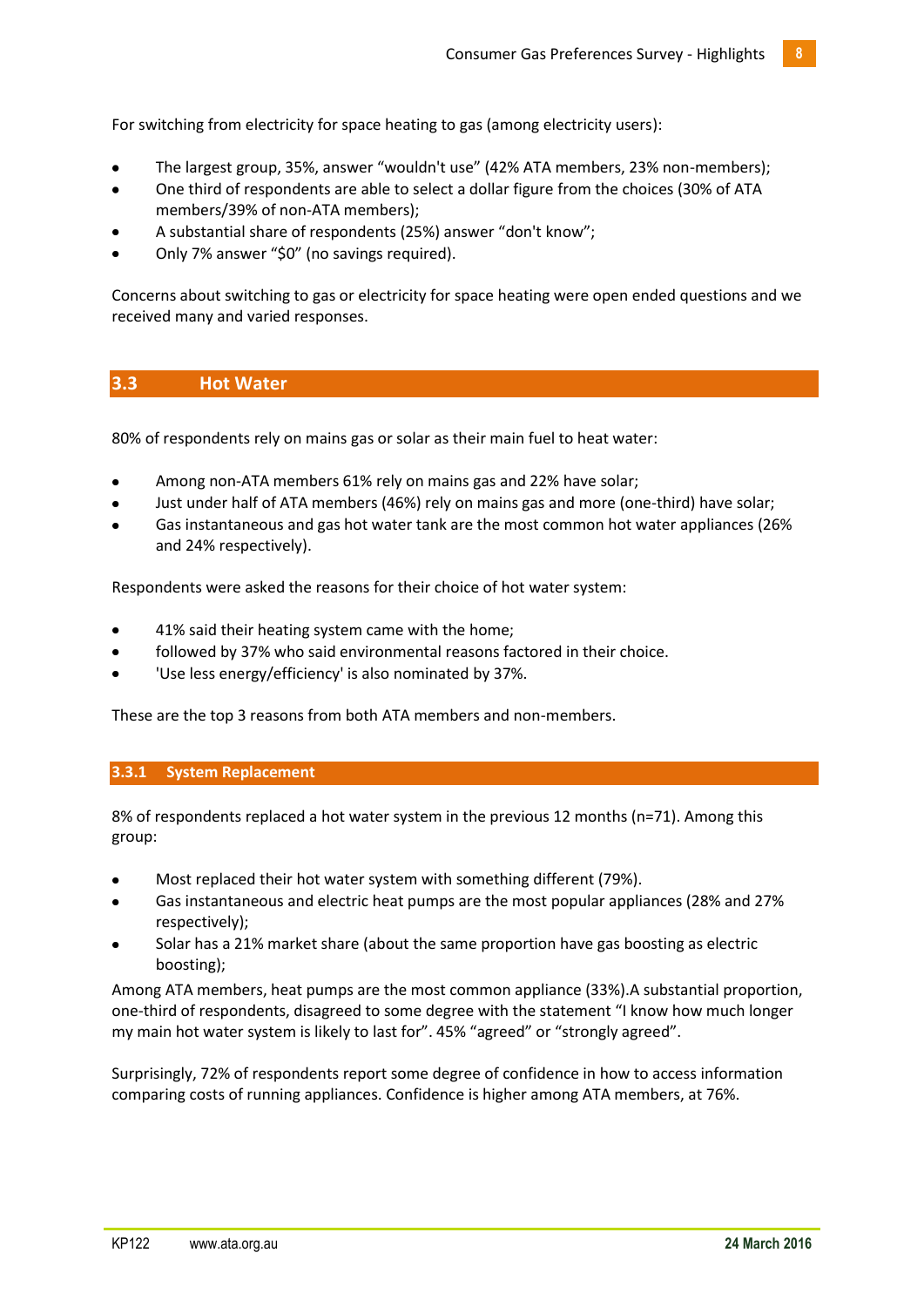For switching from electricity for space heating to gas (among electricity users):

- The largest group, 35%, answer "wouldn't use" (42% ATA members, 23% non-members);
- One third of respondents are able to select a dollar figure from the choices (30% of ATA members/39% of non-ATA members);
- A substantial share of respondents (25%) answer "don't know";
- Only 7% answer "\$0" (no savings required).

Concerns about switching to gas or electricity for space heating were open ended questions and we received many and varied responses.

# <span id="page-7-0"></span>**3.3 Hot Water**

80% of respondents rely on mains gas or solar as their main fuel to heat water:

- Among non-ATA members 61% rely on mains gas and 22% have solar;
- Just under half of ATA members (46%) rely on mains gas and more (one-third) have solar;
- Gas instantaneous and gas hot water tank are the most common hot water appliances (26% and 24% respectively).

Respondents were asked the reasons for their choice of hot water system:

- 41% said their heating system came with the home;
- followed by 37% who said environmental reasons factored in their choice.
- 'Use less energy/efficiency' is also nominated by 37%.

These are the top 3 reasons from both ATA members and non-members.

# **3.3.1 System Replacement**

8% of respondents replaced a hot water system in the previous 12 months (n=71). Among this group:

- Most replaced their hot water system with something different (79%).
- Gas instantaneous and electric heat pumps are the most popular appliances (28% and 27% respectively);
- Solar has a 21% market share (about the same proportion have gas boosting as electric boosting);

Among ATA members, heat pumps are the most common appliance (33%).A substantial proportion, one-third of respondents, disagreed to some degree with the statement "I know how much longer my main hot water system is likely to last for". 45% "agreed" or "strongly agreed".

Surprisingly, 72% of respondents report some degree of confidence in how to access information comparing costs of running appliances. Confidence is higher among ATA members, at 76%.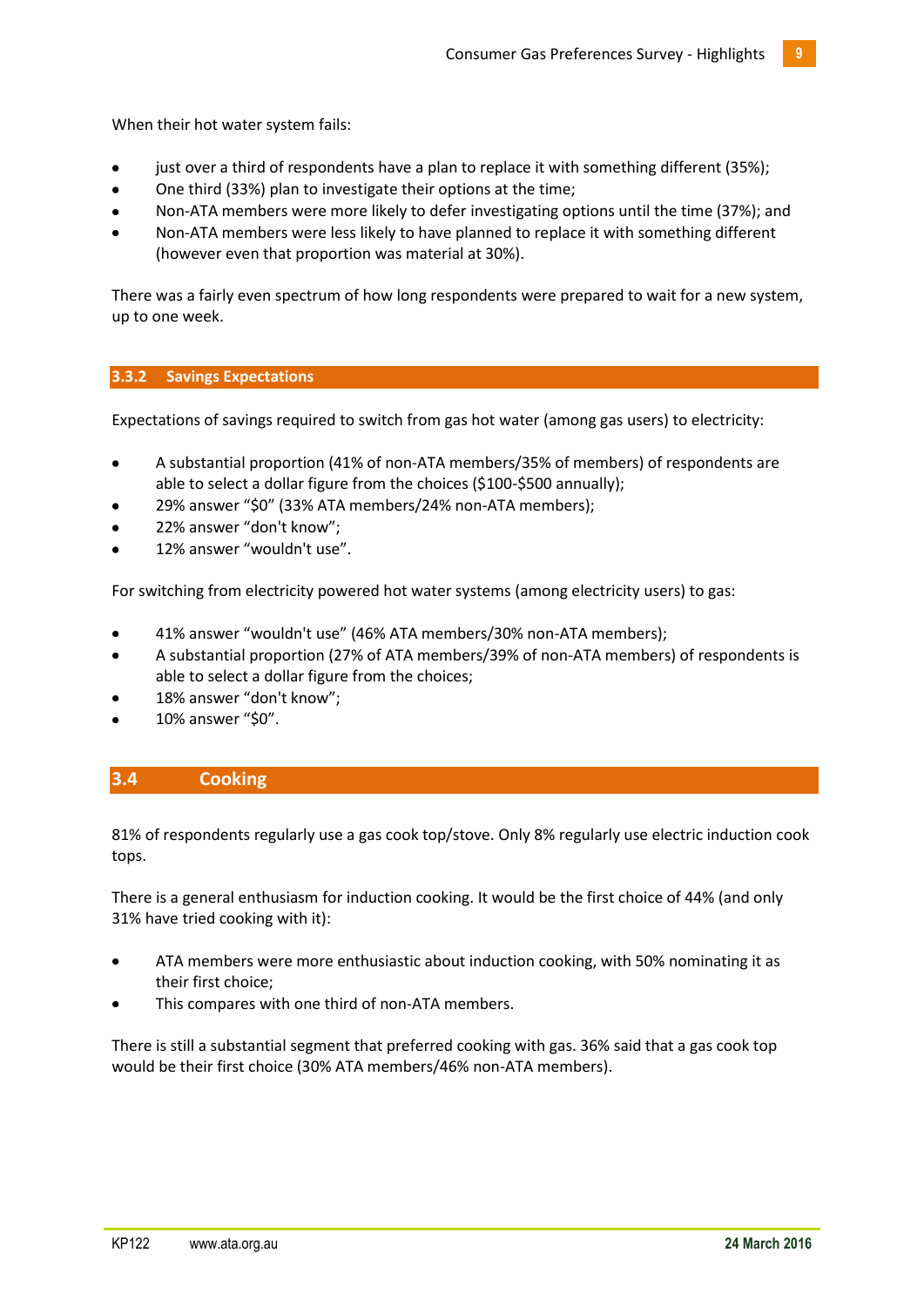When their hot water system fails:

- just over a third of respondents have a plan to replace it with something different (35%);
- One third (33%) plan to investigate their options at the time;
- Non-ATA members were more likely to defer investigating options until the time (37%); and
- Non-ATA members were less likely to have planned to replace it with something different (however even that proportion was material at 30%).

There was a fairly even spectrum of how long respondents were prepared to wait for a new system, up to one week.

# **3.3.2 Savings Expectations**

Expectations of savings required to switch from gas hot water (among gas users) to electricity:

- A substantial proportion (41% of non-ATA members/35% of members) of respondents are able to select a dollar figure from the choices (\$100-\$500 annually);
- 29% answer "\$0" (33% ATA members/24% non-ATA members);
- 22% answer "don't know";
- 12% answer "wouldn't use".

For switching from electricity powered hot water systems (among electricity users) to gas:

- 41% answer "wouldn't use" (46% ATA members/30% non-ATA members);
- A substantial proportion (27% of ATA members/39% of non-ATA members) of respondents is able to select a dollar figure from the choices;
- 18% answer "don't know";
- 10% answer "\$0".

# <span id="page-8-0"></span>**3.4 Cooking**

81% of respondents regularly use a gas cook top/stove. Only 8% regularly use electric induction cook tops.

There is a general enthusiasm for induction cooking. It would be the first choice of 44% (and only 31% have tried cooking with it):

- ATA members were more enthusiastic about induction cooking, with 50% nominating it as their first choice;
- This compares with one third of non-ATA members.

There is still a substantial segment that preferred cooking with gas. 36% said that a gas cook top would be their first choice (30% ATA members/46% non-ATA members).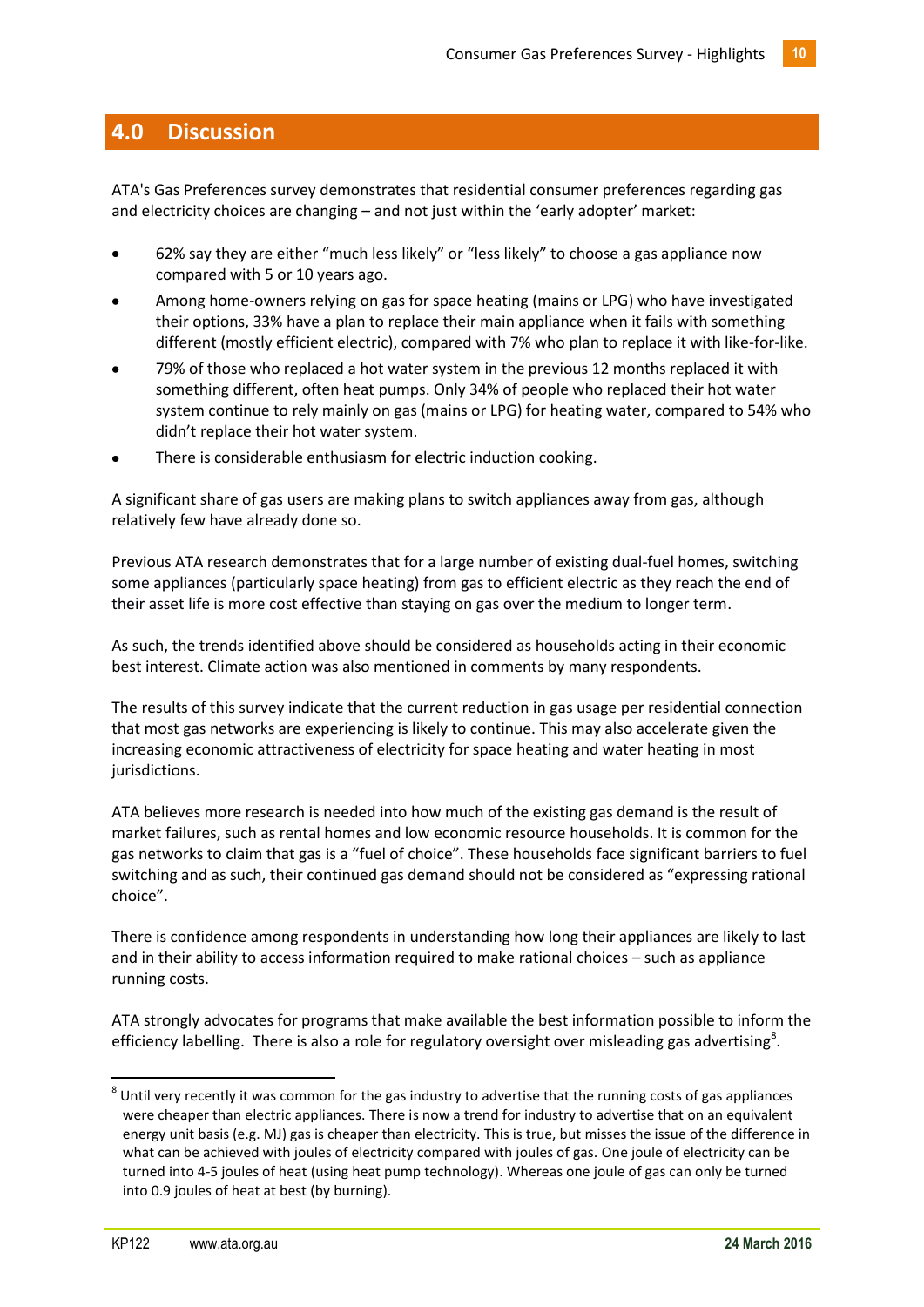# <span id="page-9-0"></span>**4.0 Discussion**

ATA's Gas Preferences survey demonstrates that residential consumer preferences regarding gas and electricity choices are changing – and not just within the 'early adopter' market:

- 62% say they are either "much less likely" or "less likely" to choose a gas appliance now compared with 5 or 10 years ago.
- Among home-owners relying on gas for space heating (mains or LPG) who have investigated their options, 33% have a plan to replace their main appliance when it fails with something different (mostly efficient electric), compared with 7% who plan to replace it with like-for-like.
- 79% of those who replaced a hot water system in the previous 12 months replaced it with something different, often heat pumps. Only 34% of people who replaced their hot water system continue to rely mainly on gas (mains or LPG) for heating water, compared to 54% who didn't replace their hot water system.
- There is considerable enthusiasm for electric induction cooking.

A significant share of gas users are making plans to switch appliances away from gas, although relatively few have already done so.

Previous ATA research demonstrates that for a large number of existing dual-fuel homes, switching some appliances (particularly space heating) from gas to efficient electric as they reach the end of their asset life is more cost effective than staying on gas over the medium to longer term.

As such, the trends identified above should be considered as households acting in their economic best interest. Climate action was also mentioned in comments by many respondents.

The results of this survey indicate that the current reduction in gas usage per residential connection that most gas networks are experiencing is likely to continue. This may also accelerate given the increasing economic attractiveness of electricity for space heating and water heating in most jurisdictions.

ATA believes more research is needed into how much of the existing gas demand is the result of market failures, such as rental homes and low economic resource households. It is common for the gas networks to claim that gas is a "fuel of choice". These households face significant barriers to fuel switching and as such, their continued gas demand should not be considered as "expressing rational choice".

There is confidence among respondents in understanding how long their appliances are likely to last and in their ability to access information required to make rational choices – such as appliance running costs.

ATA strongly advocates for programs that make available the best information possible to inform the efficiency labelling. There is also a role for regulatory oversight over misleading gas advertising<sup>8</sup>.

**.** 

 $^8$  Until very recently it was common for the gas industry to advertise that the running costs of gas appliances were cheaper than electric appliances. There is now a trend for industry to advertise that on an equivalent energy unit basis (e.g. MJ) gas is cheaper than electricity. This is true, but misses the issue of the difference in what can be achieved with joules of electricity compared with joules of gas. One joule of electricity can be turned into 4-5 joules of heat (using heat pump technology). Whereas one joule of gas can only be turned into 0.9 joules of heat at best (by burning).